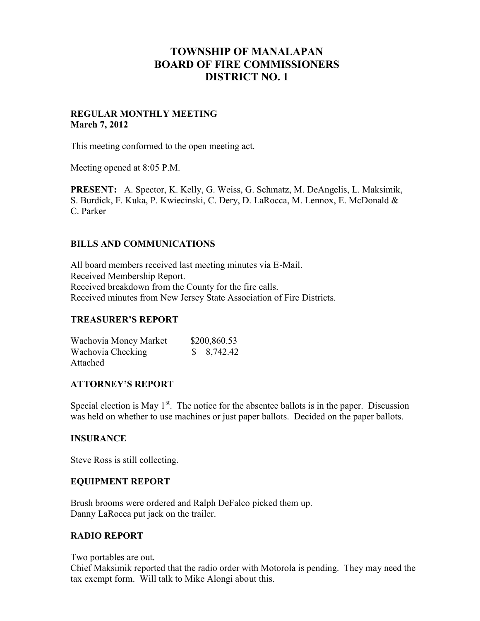# **TOWNSHIP OF MANALAPAN BOARD OF FIRE COMMISSIONERS DISTRICT NO. 1**

### **REGULAR MONTHLY MEETING March 7, 2012**

This meeting conformed to the open meeting act.

Meeting opened at 8:05 P.M.

**PRESENT:** A. Spector, K. Kelly, G. Weiss, G. Schmatz, M. DeAngelis, L. Maksimik, S. Burdick, F. Kuka, P. Kwiecinski, C. Dery, D. LaRocca, M. Lennox, E. McDonald & C. Parker

## **BILLS AND COMMUNICATIONS**

All board members received last meeting minutes via E-Mail. Received Membership Report. Received breakdown from the County for the fire calls. Received minutes from New Jersey State Association of Fire Districts.

#### **TREASURER'S REPORT**

| Wachovia Money Market | \$200,860.53  |
|-----------------------|---------------|
| Wachovia Checking     | $\$ 8,742.42$ |
| Attached              |               |

#### **ATTORNEY'S REPORT**

Special election is May  $1<sup>st</sup>$ . The notice for the absentee ballots is in the paper. Discussion was held on whether to use machines or just paper ballots. Decided on the paper ballots.

#### **INSURANCE**

Steve Ross is still collecting.

#### **EQUIPMENT REPORT**

Brush brooms were ordered and Ralph DeFalco picked them up. Danny LaRocca put jack on the trailer.

#### **RADIO REPORT**

Two portables are out.

Chief Maksimik reported that the radio order with Motorola is pending. They may need the tax exempt form. Will talk to Mike Alongi about this.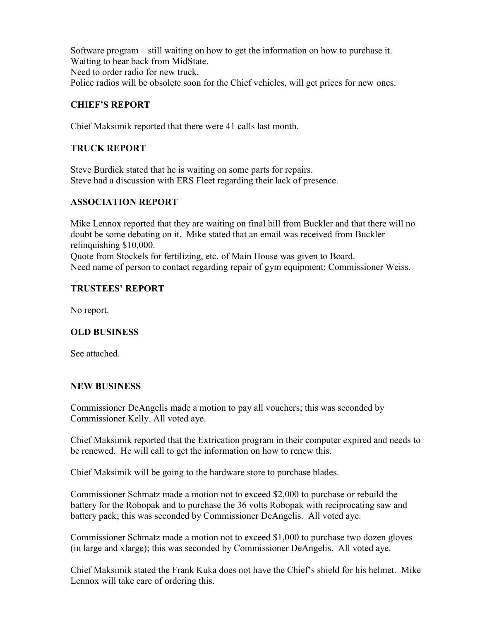Software program – still waiting on how to get the information on how to purchase it. Waiting to hear back from MidState. Need to order radio for new truck. Police radios will be obsolete soon for the Chief vehicles, will get prices for new ones.

# **CHIEF'S REPORT**

Chief Maksimik reported that there were 41 calls last month.

# **TRUCK REPORT**

Steve Burdick stated that he is waiting on some parts for repairs. Steve had a discussion with ERS Fleet regarding their lack of presence.

## **ASSOCIATION REPORT**

Mike Lennox reported that they are waiting on final bill from Buckler and that there will no doubt be some debating on it. Mike stated that an email was received from Buckler relinquishing \$10,000.

Quote from Stockels for fertilizing, etc. of Main House was given to Board. Need name of person to contact regarding repair of gym equipment; Commissioner Weiss.

## **TRUSTEES' REPORT**

No report.

# **OLD BUSINESS**

See attached.

#### **NEW BUSINESS**

Commissioner DeAngelis made a motion to pay all vouchers; this was seconded by Commissioner Kelly. All voted aye.

Chief Maksimik reported that the Extrication program in their computer expired and needs to be renewed. He will call to get the information on how to renew this.

Chief Maksimik will be going to the hardware store to purchase blades.

Commissioner Schmatz made a motion not to exceed \$2,000 to purchase or rebuild the battery for the Robopak and to purchase the 36 volts Robopak with reciprocating saw and battery pack; this was seconded by Commissioner DeAngelis. All voted aye.

Commissioner Schmatz made a motion not to exceed \$1,000 to purchase two dozen gloves (in large and xlarge); this was seconded by Commissioner DeAngelis. All voted aye.

Chief Maksimik stated the Frank Kuka does not have the Chief's shield for his helmet. Mike Lennox will take care of ordering this.